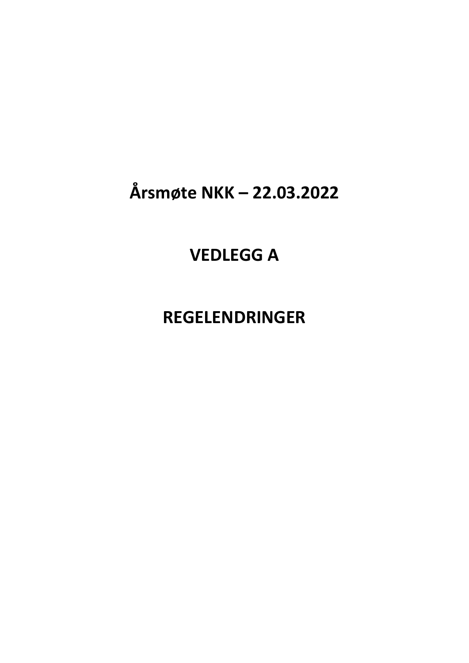# **Årsmøte NKK – 22.03.2022**

# **VEDLEGG A**

# **REGELENDRINGER**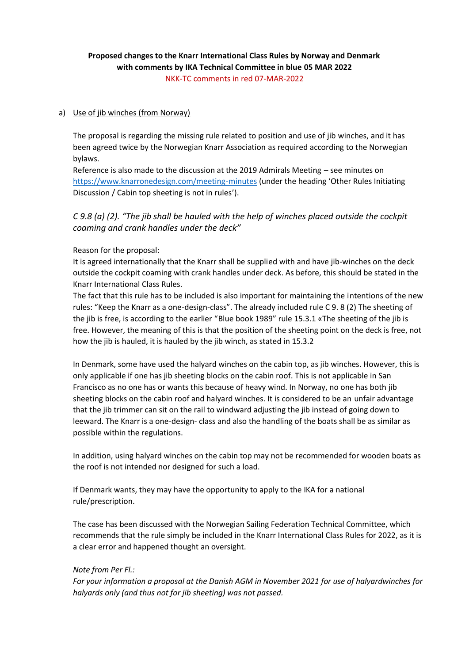#### **Proposed changes to the Knarr International Class Rules by Norway and Denmark with comments by IKA Technical Committee in blue 05 MAR 2022** NKK-TC comments in red 07-MAR-2022

#### a) Use of jib winches (from Norway)

The proposal is regarding the missing rule related to position and use of jib winches, and it has been agreed twice by the Norwegian Knarr Association as required according to the Norwegian bylaws.

Reference is also made to the discussion at the 2019 Admirals Meeting – see minutes on <https://www.knarronedesign.com/meeting-minutes> (under the heading 'Other Rules Initiating Discussion / Cabin top sheeting is not in rules').

## *C 9.8 (a) (2). "The jib shall be hauled with the help of winches placed outside the cockpit coaming and crank handles under the deck"*

#### Reason for the proposal:

It is agreed internationally that the Knarr shall be supplied with and have jib-winches on the deck outside the cockpit coaming with crank handles under deck. As before, this should be stated in the Knarr International Class Rules.

The fact that this rule has to be included is also important for maintaining the intentions of the new rules: "Keep the Knarr as a one-design-class". The already included rule C 9. 8 (2) The sheeting of the jib is free, is according to the earlier "Blue book 1989" rule 15.3.1 «The sheeting of the jib is free. However, the meaning of this is that the position of the sheeting point on the deck is free, not how the jib is hauled, it is hauled by the jib winch, as stated in 15.3.2

In Denmark, some have used the halyard winches on the cabin top, as jib winches. However, this is only applicable if one has jib sheeting blocks on the cabin roof. This is not applicable in San Francisco as no one has or wants this because of heavy wind. In Norway, no one has both jib sheeting blocks on the cabin roof and halyard winches. It is considered to be an unfair advantage that the jib trimmer can sit on the rail to windward adjusting the jib instead of going down to leeward. The Knarr is a one-design- class and also the handling of the boats shall be as similar as possible within the regulations.

In addition, using halyard winches on the cabin top may not be recommended for wooden boats as the roof is not intended nor designed for such a load.

If Denmark wants, they may have the opportunity to apply to the IKA for a national rule/prescription.

The case has been discussed with the Norwegian Sailing Federation Technical Committee, which recommends that the rule simply be included in the Knarr International Class Rules for 2022, as it is a clear error and happened thought an oversight.

#### *Note from Per Fl.:*

*For your information a proposal at the Danish AGM in November 2021 for use of halyardwinches for halyards only (and thus not for jib sheeting) was not passed.*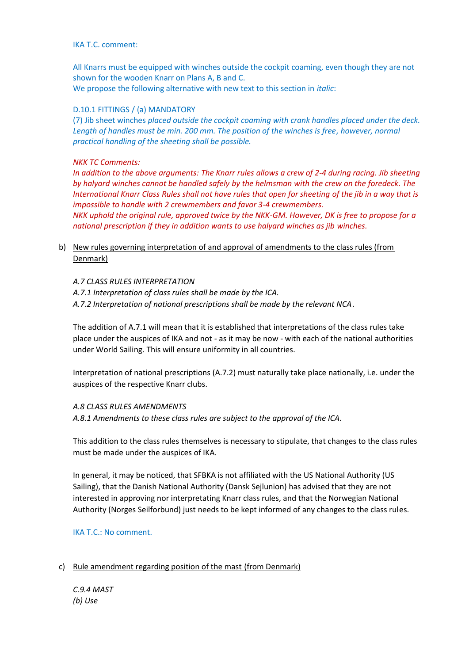IKA T.C. comment:

All Knarrs must be equipped with winches outside the cockpit coaming, even though they are not shown for the wooden Knarr on Plans A, B and C.

We propose the following alternative with new text to this section in *italic*:

#### D.10.1 FITTINGS / (a) MANDATORY

(7) Jib sheet winches *placed outside the cockpit coaming with crank handles placed under the deck.*  Length of handles must be min. 200 mm. The position of the winches is free, however, normal *practical handling of the sheeting shall be possible.*

#### *NKK TC Comments:*

*In addition to the above arguments: The Knarr rules allows a crew of 2-4 during racing. Jib sheeting by halyard winches cannot be handled safely by the helmsman with the crew on the foredeck. The International Knarr Class Rules shall not have rules that open for sheeting of the jib in a way that is impossible to handle with 2 crewmembers and favor 3-4 crewmembers.* 

*NKK uphold the original rule, approved twice by the NKK-GM. However, DK is free to propose for a national prescription if they in addition wants to use halyard winches as jib winches.* 

b) New rules governing interpretation of and approval of amendments to the class rules (from Denmark)

#### *A.7 CLASS RULES INTERPRETATION*

*A.7.1 Interpretation of class rules shall be made by the ICA.*

*A.7.2 Interpretation of national prescriptions shall be made by the relevant NCA*.

The addition of A.7.1 will mean that it is established that interpretations of the class rules take place under the auspices of IKA and not - as it may be now - with each of the national authorities under World Sailing. This will ensure uniformity in all countries.

Interpretation of national prescriptions (A.7.2) must naturally take place nationally, i.e. under the auspices of the respective Knarr clubs.

## *A.8 CLASS RULES AMENDMENTS*

*A.8.1 Amendments to these class rules are subject to the approval of the ICA.*

This addition to the class rules themselves is necessary to stipulate, that changes to the class rules must be made under the auspices of IKA.

In general, it may be noticed, that SFBKA is not affiliated with the US National Authority (US Sailing), that the Danish National Authority (Dansk Sejlunion) has advised that they are not interested in approving nor interpretating Knarr class rules, and that the Norwegian National Authority (Norges Seilforbund) just needs to be kept informed of any changes to the class rules.

IKA T.C.: No comment.

#### c) Rule amendment regarding position of the mast (from Denmark)

*C.9.4 MAST (b) Use*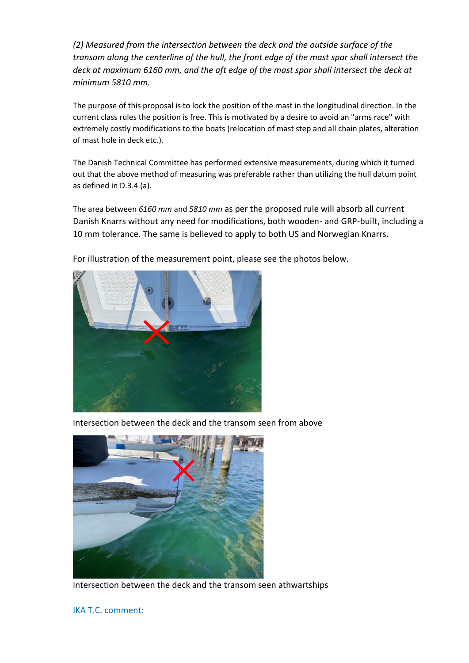*(2) Measured from the intersection between the deck and the outside surface of the transom along the centerline of the hull, the front edge of the mast spar shall intersect the deck at maximum 6160 mm, and the aft edge of the mast spar shall intersect the deck at minimum 5810 mm.*

The purpose of this proposal is to lock the position of the mast in the longitudinal direction. In the current class rules the position is free. This is motivated by a desire to avoid an "arms race" with extremely costly modifications to the boats (relocation of mast step and all chain plates, alteration of mast hole in deck etc.).

The Danish Technical Committee has performed extensive measurements, during which it turned out that the above method of measuring was preferable rather than utilizing the hull datum point as defined in D.3.4 (a).

The area between *6160 mm* and *5810 mm* as per the proposed rule will absorb all current Danish Knarrs without any need for modifications, both wooden- and GRP-built, including a 10 mm tolerance. The same is believed to apply to both US and Norwegian Knarrs.



For illustration of the measurement point, please see the photos below.

Intersection between the deck and the transom seen from above



Intersection between the deck and the transom seen athwartships

IKA T.C. comment: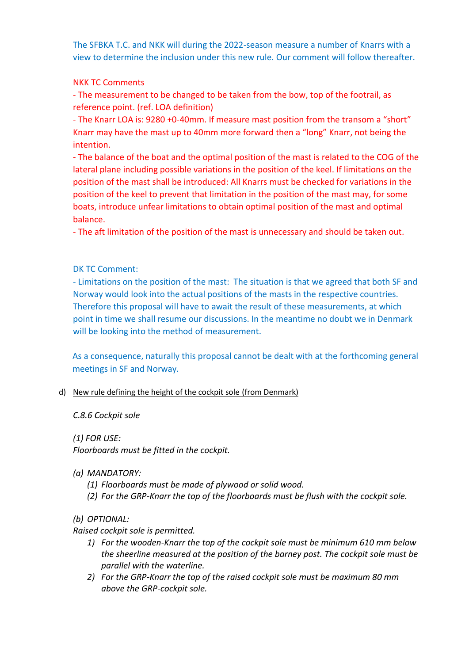The SFBKA T.C. and NKK will during the 2022-season measure a number of Knarrs with a view to determine the inclusion under this new rule. Our comment will follow thereafter.

### NKK TC Comments

- The measurement to be changed to be taken from the bow, top of the footrail, as reference point. (ref. LOA definition)

- The Knarr LOA is: 9280 +0-40mm. If measure mast position from the transom a "short" Knarr may have the mast up to 40mm more forward then a "long" Knarr, not being the intention.

- The balance of the boat and the optimal position of the mast is related to the COG of the lateral plane including possible variations in the position of the keel. If limitations on the position of the mast shall be introduced: All Knarrs must be checked for variations in the position of the keel to prevent that limitation in the position of the mast may, for some boats, introduce unfear limitations to obtain optimal position of the mast and optimal balance.

- The aft limitation of the position of the mast is unnecessary and should be taken out.

#### DK TC Comment:

- Limitations on the position of the mast: The situation is that we agreed that both SF and Norway would look into the actual positions of the masts in the respective countries. Therefore this proposal will have to await the result of these measurements, at which point in time we shall resume our discussions. In the meantime no doubt we in Denmark will be looking into the method of measurement.

As a consequence, naturally this proposal cannot be dealt with at the forthcoming general meetings in SF and Norway.

### d) New rule defining the height of the cockpit sole (from Denmark)

*C.8.6 Cockpit sole*

*(1) FOR USE: Floorboards must be fitted in the cockpit.*

- *(a) MANDATORY:*
	- *(1) Floorboards must be made of plywood or solid wood.*
	- *(2) For the GRP-Knarr the top of the floorboards must be flush with the cockpit sole.*

### *(b) OPTIONAL:*

*Raised cockpit sole is permitted.* 

- *1) For the wooden-Knarr the top of the cockpit sole must be minimum 610 mm below the sheerline measured at the position of the barney post. The cockpit sole must be parallel with the waterline.*
- *2) For the GRP-Knarr the top of the raised cockpit sole must be maximum 80 mm above the GRP-cockpit sole.*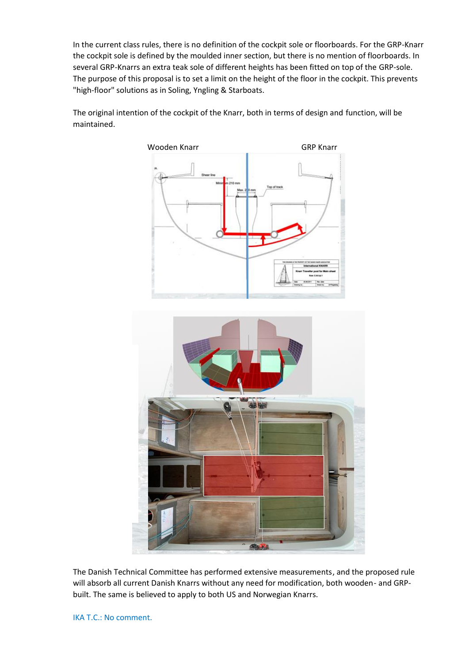In the current class rules, there is no definition of the cockpit sole or floorboards. For the GRP-Knarr the cockpit sole is defined by the moulded inner section, but there is no mention of floorboards. In several GRP-Knarrs an extra teak sole of different heights has been fitted on top of the GRP-sole. The purpose of this proposal is to set a limit on the height of the floor in the cockpit. This prevents "high-floor" solutions as in Soling, Yngling & Starboats.

The original intention of the cockpit of the Knarr, both in terms of design and function, will be maintained.



The Danish Technical Committee has performed extensive measurements, and the proposed rule will absorb all current Danish Knarrs without any need for modification, both wooden- and GRPbuilt. The same is believed to apply to both US and Norwegian Knarrs.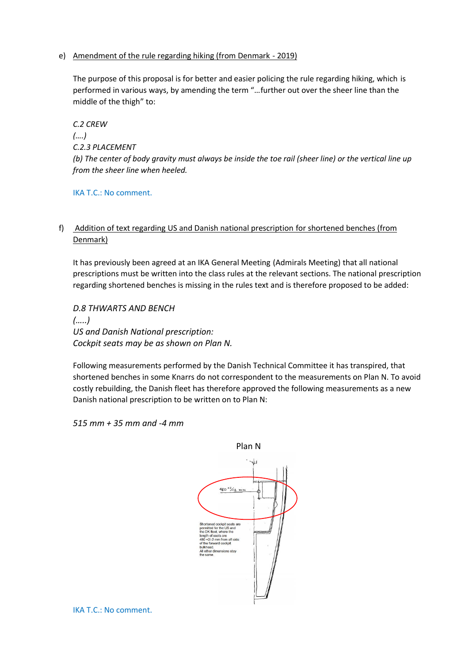e) Amendment of the rule regarding hiking (from Denmark - 2019)

The purpose of this proposal is for better and easier policing the rule regarding hiking, which is performed in various ways, by amending the term "…further out over the sheer line than the middle of the thigh" to:

*C.2 CREW (….) C.2.3 PLACEMENT (b) The center of body gravity must always be inside the toe rail (sheer line) or the vertical line up from the sheer line when heeled.*

IKA T.C.: No comment.

### f) Addition of text regarding US and Danish national prescription for shortened benches (from Denmark)

It has previously been agreed at an IKA General Meeting (Admirals Meeting) that all national prescriptions must be written into the class rules at the relevant sections. The national prescription regarding shortened benches is missing in the rules text and is therefore proposed to be added:

*D.8 THWARTS AND BENCH (…..) US and Danish National prescription: Cockpit seats may be as shown on Plan N.*

Following measurements performed by the Danish Technical Committee it has transpired, that shortened benches in some Knarrs do not correspondent to the measurements on Plan N. To avoid costly rebuilding, the Danish fleet has therefore approved the following measurements as a new Danish national prescription to be written on to Plan N:

*515 mm + 35 mm and -4 mm*



IKA T.C.: No comment.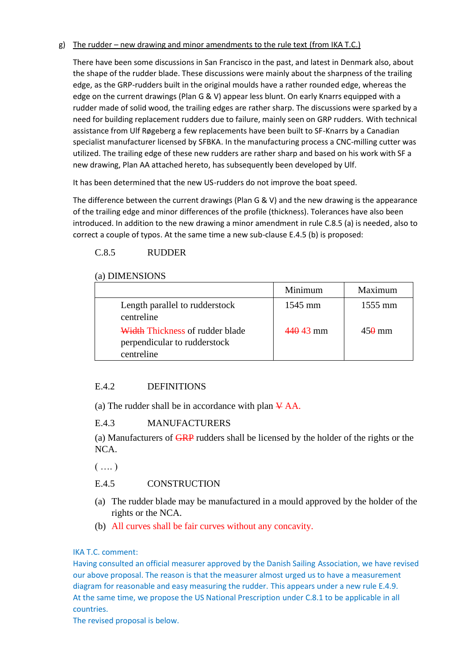#### g) The rudder – new drawing and minor amendments to the rule text (from IKA T.C.)

There have been some discussions in San Francisco in the past, and latest in Denmark also, about the shape of the rudder blade. These discussions were mainly about the sharpness of the trailing edge, as the GRP-rudders built in the original moulds have a rather rounded edge, whereas the edge on the current drawings (Plan G & V) appear less blunt. On early Knarrs equipped with a rudder made of solid wood, the trailing edges are rather sharp. The discussions were sparked by a need for building replacement rudders due to failure, mainly seen on GRP rudders. With technical assistance from Ulf Røgeberg a few replacements have been built to SF-Knarrs by a Canadian specialist manufacturer licensed by SFBKA. In the manufacturing process a CNC-milling cutter was utilized. The trailing edge of these new rudders are rather sharp and based on his work with SF a new drawing, Plan AA attached hereto, has subsequently been developed by Ulf.

It has been determined that the new US-rudders do not improve the boat speed.

The difference between the current drawings (Plan G & V) and the new drawing is the appearance of the trailing edge and minor differences of the profile (thickness). Tolerances have also been introduced. In addition to the new drawing a minor amendment in rule C.8.5 (a) is needed, also to correct a couple of typos. At the same time a new sub-clause E.4.5 (b) is proposed:

### C.8.5 RUDDER

#### (a) DIMENSIONS

|                                                                               | Minimum    | Maximum           |
|-------------------------------------------------------------------------------|------------|-------------------|
| Length parallel to rudderstock<br>centreline                                  | 1545 mm    | $1555 \text{ mm}$ |
| Width Thickness of rudder blade<br>perpendicular to rudderstock<br>centreline | $44043$ mm | $450 \text{ mm}$  |

### E.4.2 DEFINITIONS

(a) The rudder shall be in accordance with plan  $\Psi$  AA.

### E.4.3 MANUFACTURERS

(a) Manufacturers of GRP rudders shall be licensed by the holder of the rights or the NCA.

 $($  ….  $)$ 

### E.4.5 CONSTRUCTION

- (a) The rudder blade may be manufactured in a mould approved by the holder of the rights or the NCA.
- (b) All curves shall be fair curves without any concavity.

#### IKA T.C. comment:

Having consulted an official measurer approved by the Danish Sailing Association, we have revised our above proposal. The reason is that the measurer almost urged us to have a measurement diagram for reasonable and easy measuring the rudder. This appears under a new rule E.4.9. At the same time, we propose the US National Prescription under C.8.1 to be applicable in all countries.

The revised proposal is below.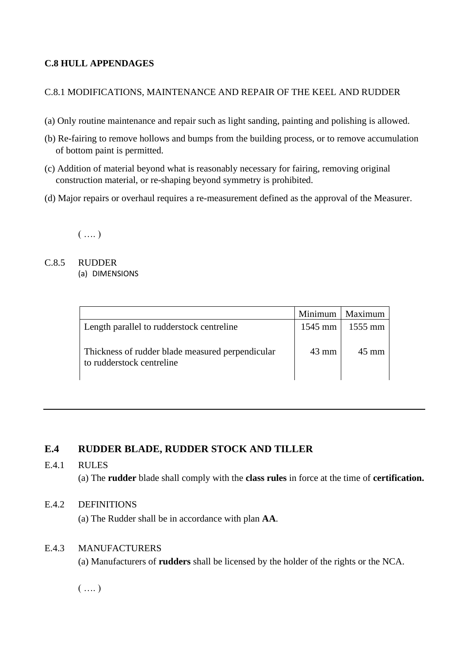## **C.8 HULL APPENDAGES**

### C.8.1 MODIFICATIONS, MAINTENANCE AND REPAIR OF THE KEEL AND RUDDER

- (a) Only routine maintenance and repair such as light sanding, painting and polishing is allowed.
- (b) Re-fairing to remove hollows and bumps from the building process, or to remove accumulation of bottom paint is permitted.
- (c) Addition of material beyond what is reasonably necessary for fairing, removing original construction material, or re-shaping beyond symmetry is prohibited.
- (d) Major repairs or overhaul requires a re-measurement defined as the approval of the Measurer.

 $(\ldots)$ 

C.8.5 RUDDER (a) DIMENSIONS

|                                                                               | Minimum         | Maximum         |
|-------------------------------------------------------------------------------|-----------------|-----------------|
| Length parallel to rudderstock centreline                                     | $1545$ mm       | $1555$ mm       |
| Thickness of rudder blade measured perpendicular<br>to rudderstock centreline | $43 \text{ mm}$ | $45 \text{ mm}$ |

# **E.4 RUDDER BLADE, RUDDER STOCK AND TILLER**

### E.4.1 RULES

(a) The **rudder** blade shall comply with the **class rules** in force at the time of **certification.**

#### E.4.2 DEFINITIONS

(a) The Rudder shall be in accordance with plan **AA**.

### E.4.3 MANUFACTURERS

(a) Manufacturers of **rudders** shall be licensed by the holder of the rights or the NCA.

 $(\ldots)$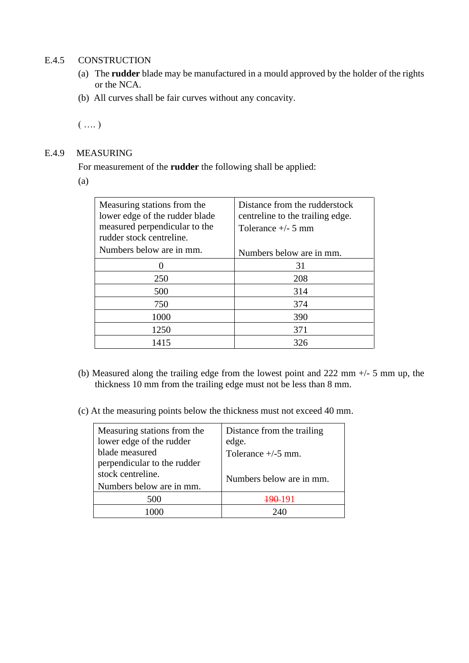### E.4.5 CONSTRUCTION

- (a) The **rudder** blade may be manufactured in a mould approved by the holder of the rights or the NCA.
- (b) All curves shall be fair curves without any concavity.

 $\left( \dots \right)$ 

## E.4.9 MEASURING

For measurement of the **rudder** the following shall be applied:

(a)

| Measuring stations from the<br>lower edge of the rudder blade<br>measured perpendicular to the<br>rudder stock centreline. | Distance from the rudderstock<br>centreline to the trailing edge.<br>Tolerance $+/-$ 5 mm |
|----------------------------------------------------------------------------------------------------------------------------|-------------------------------------------------------------------------------------------|
| Numbers below are in mm.                                                                                                   | Numbers below are in mm.                                                                  |
|                                                                                                                            | 31                                                                                        |
| 250                                                                                                                        | 208                                                                                       |
| 500                                                                                                                        | 314                                                                                       |
| 750                                                                                                                        | 374                                                                                       |
| 1000                                                                                                                       | 390                                                                                       |
| 1250                                                                                                                       | 371                                                                                       |
| 1415                                                                                                                       | 326                                                                                       |

- (b) Measured along the trailing edge from the lowest point and 222 mm +/- 5 mm up, the thickness 10 mm from the trailing edge must not be less than 8 mm.
- (c) At the measuring points below the thickness must not exceed 40 mm.

| Measuring stations from the | Distance from the trailing |  |
|-----------------------------|----------------------------|--|
| lower edge of the rudder    | edge.                      |  |
| blade measured              | Tolerance $+/-5$ mm.       |  |
| perpendicular to the rudder |                            |  |
| stock centreline.           | Numbers below are in mm.   |  |
| Numbers below are in mm.    |                            |  |
| 500                         | <del>190</del> -191        |  |
|                             | 74U                        |  |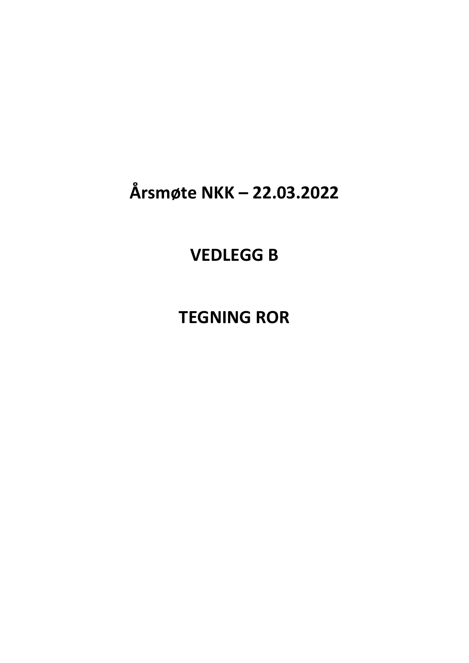# **Årsmøte NKK – 22.03.2022**

# **VEDLEGG B**

**TEGNING ROR**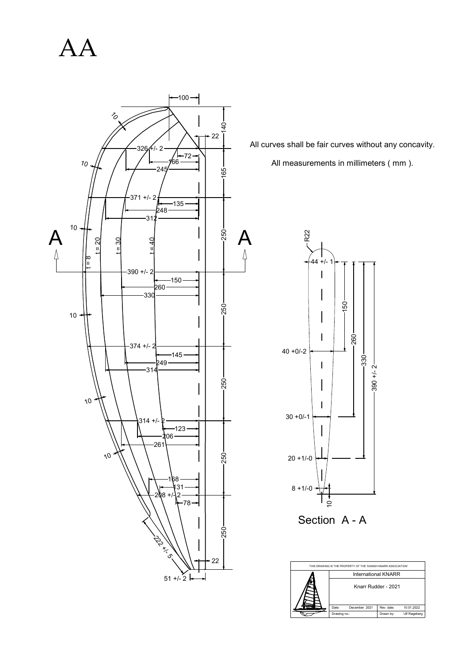AA



All curves shall be fair curves without any concavity.

All measurements in millimeters ( mm ).

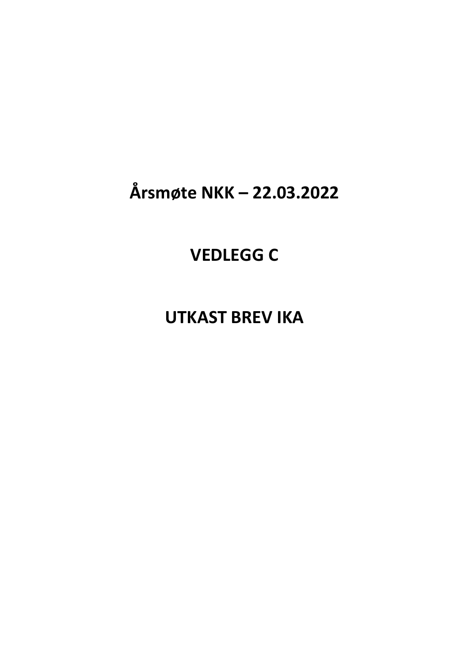# **Årsmøte NKK – 22.03.2022**

# **VEDLEGG C**

# **UTKAST BREV IKA**